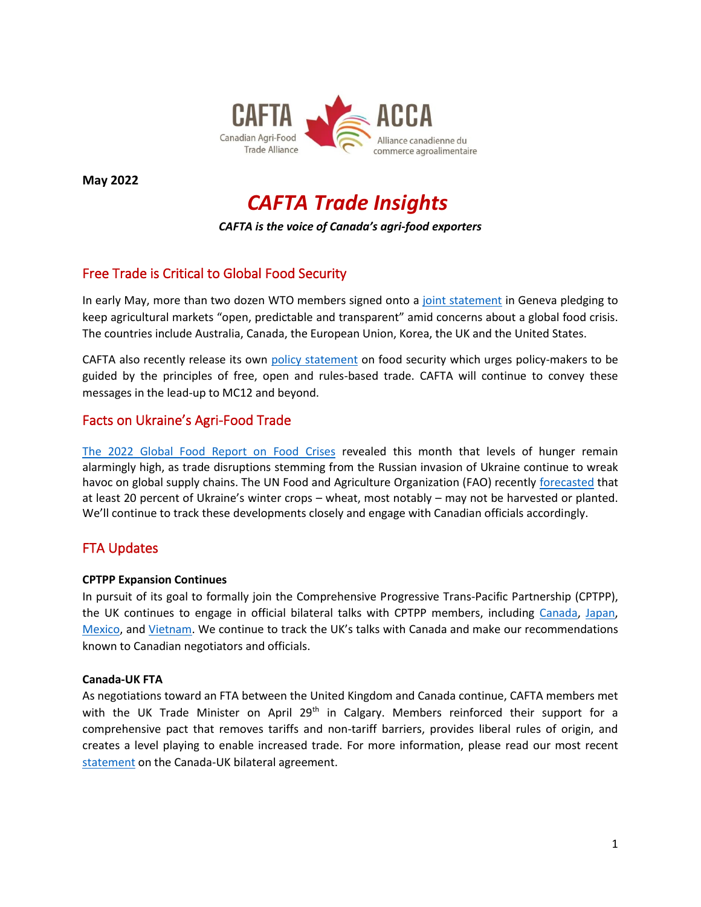

**May 2022**

# *CAFTA Trade Insights*

*CAFTA is the voice of Canada's agri-food exporters* 

# Free Trade is Critical to Global Food Security

In early May, more than two dozen WTO members signed onto a [joint statement](https://www.international.gc.ca/world-monde/international_relations-relations_internationales/wto-omc/news-nouvelles/2022-05-06-agriculture-statement-declaration.aspx?lang=eng) in Geneva pledging to keep agricultural markets "open, predictable and transparent" amid concerns about a global food crisis. The countries include Australia, Canada, the European Union, Korea, the UK and the United States.

CAFTA also recently release its own [policy statement](https://cafta.org/front-page-news/policy-statement-on-global-food-security/) on food security which urges policy-makers to be guided by the principles of free, open and rules-based trade. CAFTA will continue to convey these messages in the lead-up to MC12 and beyond.

## Facts on Ukraine's Agri-Food Trade

[The 2022 Global Food Report on Food Crises](http://www.fightfoodcrises.net/fileadmin/user_upload/fightfoodcrises/doc/resources/GRFC_2022_FINAl_REPORT.pdf) revealed this month that levels of hunger remain alarmingly high, as trade disruptions stemming from the Russian invasion of Ukraine continue to wreak havoc on global supply chains. The UN Food and Agriculture Organization (FAO) recently [forecasted](https://www.fao.org/3/cc0120en/cc0120en.pdf) that at least 20 percent of Ukraine's winter crops – wheat, most notably – may not be harvested or planted. We'll continue to track these developments closely and engage with Canadian officials accordingly.

## FTA Updates

#### **CPTPP Expansion Continues**

In pursuit of its goal to formally join the Comprehensive Progressive Trans-Pacific Partnership (CPTPP), the UK continues to engage in official bilateral talks with CPTPP members, including [Canada,](https://www.gov.uk/government/news/uk-launches-negotiations-with-canada-on-a-new-modernised-trade-deal) [Japan,](https://www.gov.uk/government/news/trade-secretary-visits-tokyo-to-deepen-uk-japan-trade-and-investment-ties) [Mexico,](https://www.gov.uk/government/news/uk-kicks-off-talks-on-modern-trade-deal-with-mexico) an[d Vietnam.](https://www.gov.uk/government/news/uk-and-vietnam-hold-talks-as-trade-increases-by-almost-11) We continue to track the UK's talks with Canada and make our recommendations known to Canadian negotiators and officials.

#### **Canada-UK FTA**

As negotiations toward an FTA between the United Kingdom and Canada continue, CAFTA members met with the UK Trade Minister on April 29<sup>th</sup> in Calgary. Members reinforced their support for a comprehensive pact that removes tariffs and non-tariff barriers, provides liberal rules of origin, and creates a level playing to enable increased trade. For more information, please read our most recent [statement](https://cafta.org/wp-content/uploads/2021/04/CAFTA-Submisson-on-possible-UK-Canada-FTA.pdf) on the Canada-UK bilateral agreement.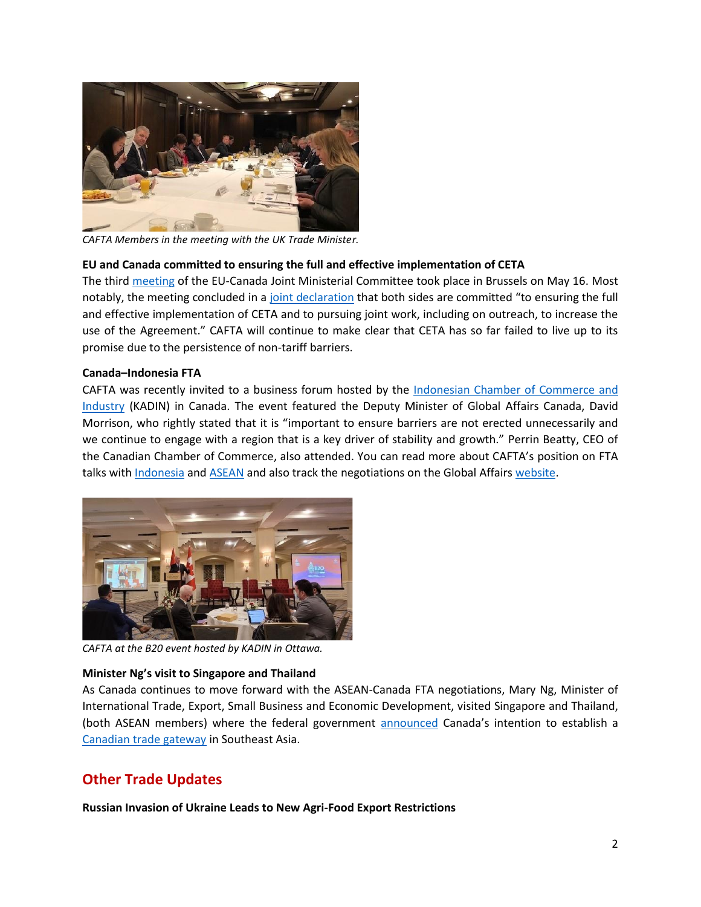

*CAFTA Members in the meeting with the UK Trade Minister.*

#### **[EU and Canada committed to ensuring the full and effective implementation of CETA](https://www.consilium.europa.eu/en/press/press-releases/2022/05/16/joint-declaration-following-the-third-eu-canada-joint-ministerial-committee-meeting/)**

The thir[d meeting](https://www.consilium.europa.eu/en/meetings/international-ministerial-meetings/2022/05/16/) of the EU-Canada Joint Ministerial Committee took place in Brussels on May 16. Most notably, the meeting concluded in [a joint declaration](https://www.consilium.europa.eu/en/press/press-releases/2022/05/16/joint-declaration-following-the-third-eu-canada-joint-ministerial-committee-meeting/) that both sides are committed "to ensuring the full and effective implementation of CETA and to pursuing joint work, including on outreach, to increase the use of the Agreement." CAFTA will continue to make clear that CETA has so far failed to live up to its promise due to the persistence of non-tariff barriers.

#### **Canada–Indonesia FTA**

CAFTA was recently invited to a business forum hosted by the Indonesian Chamber of Commerce and [Industry](https://bsd-kadin.id/) (KADIN) in Canada. The event featured the Deputy Minister of Global Affairs Canada, David Morrison, who rightly stated that it is "important to ensure barriers are not erected unnecessarily and we continue to engage with a region that is a key driver of stability and growth." Perrin Beatty, CEO of the Canadian Chamber of Commerce, also attended. You can read more about CAFTA's position on FTA talks wit[h Indonesia](https://cafta.org/latest-news/agri-food-exporters-welcome-launch-of-trade-negotiations-with-indonesia/) and [ASEAN](https://cafta.org/news-releases/asean-tabling-of-objectives/) and also track the negotiations on the Global Affairs [website.](https://www.international.gc.ca/trade-commerce/trade-agreements-accords-commerciaux/agr-acc/asean-anase/fta-ale/negotiations-negociations.aspx?lang=eng)



*CAFTA at the B20 event hosted by KADIN in Ottawa.*

#### **Minister Ng's visit to Singapore and Thailand**

As Canada continues to move forward with the ASEAN-Canada FTA negotiations, Mary Ng, Minister of International Trade, Export, Small Business and Economic Development, visited Singapore and Thailand, (both ASEAN members) where the federal government [announced](https://twitter.com/mary_ng/status/1529148677067087873) Canada's intention to establish a [Canadian trade gateway](https://www.canada.ca/en/global-affairs/news/2022/05/minister-ng-concludes-successful-visits-to-thailand-and-singapore.html) in Southeast Asia.

# **Other Trade Updates**

**Russian Invasion of Ukraine Leads to New Agri-Food Export Restrictions**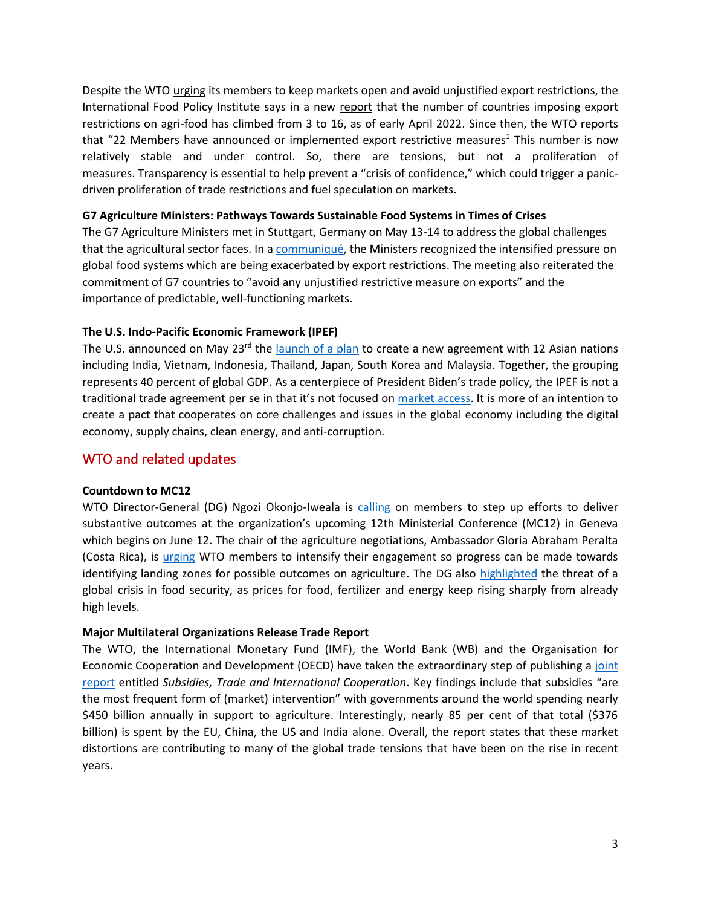Despite the WTO [urging](https://www.wto.org/english/news_e/news22_e/sps_26apr22_e.htm) its members to keep markets open and avoid unjustified export restrictions, the International Food Policy Institute says in a new [report](https://www.ifpri.org/blog/bad-worse-how-export-restrictions-exacerbate-global-food-security) that the number of countries imposing export restrictions on agri-food has climbed from 3 to 16, as of early April 2022. Since then, the WTO reports that "22 Members have announced or implemented export restrictive measures<sup>[1](https://www.wto.org/english/news_e/news22_e/ddgjp_25may22_e.htm#fnt-1)</sup> This number is now relatively stable and under control. So, there are tensions, but not a proliferation of measures. Transparency is essential to help prevent a "crisis of confidence," which could trigger a panicdriven proliferation of trade restrictions and fuel speculation on markets.

#### **G7 Agriculture Ministers: Pathways Towards Sustainable Food Systems in Times of Crises**

The G7 Agriculture Ministers met in Stuttgart, Germany on May 13-14 to address the global challenges that the agricultural sector faces. In a [communiqué,](https://www.bmel.de/SharedDocs/Downloads/EN/_International-Affairs/g7-2022-kommunique-en.pdf?__blob=publicationFile&v=3) the Ministers recognized the intensified pressure on global food systems which are being exacerbated by export restrictions. The meeting also reiterated the commitment of G7 countries to "avoid any unjustified restrictive measure on exports" and the importance of predictable, well-functioning markets.

#### **The U.S. Indo-Pacific Economic Framework (IPEF)**

The U.S. announced on May  $23<sup>rd</sup>$  the [launch of a plan](https://www.whitehouse.gov/briefing-room/statements-releases/2022/05/23/statement-on-indo-pacific-economic-framework-for-prosperity/) to create a new agreement with 12 Asian nations including India, Vietnam, Indonesia, Thailand, Japan, South Korea and Malaysia. Together, the grouping represents 40 percent of global GDP. As a centerpiece of President Biden's trade policy, the IPEF is not a traditional trade agreement per se in that it's not focused on [market access.](https://www.politico.com/news/2022/05/23/asian-nations-biden-indo-pacific-economic-framework-00034247) It is more of an intention to create a pact that cooperates on core challenges and issues in the global economy including the digital economy, supply chains, clean energy, and anti-corruption.

### WTO and related updates

#### **Countdown to MC12**

WTO Director-General (DG) Ngozi Okonjo-Iweala is [calling](https://www.wto.org/english/news_e/news22_e/gc_09may22_e.htm) on members to step up efforts to deliver substantive outcomes at the organization's upcoming 12th Ministerial Conference (MC12) in Geneva which begins on June 12. The chair of the agriculture negotiations, Ambassador Gloria Abraham Peralta (Costa Rica), is [urging](https://www.wto.org/english/news_e/news22_e/agng_02may22_e.htm) WTO members to intensify their engagement so progress can be made towards identifying landing zones for possible outcomes on agriculture. The DG also [highlighted](https://www.wto.org/english/news_e/news22_e/tnc_04may22_e.htm) the threat of a global crisis in food security, as prices for food, fertilizer and energy keep rising sharply from already high levels.

#### **Major Multilateral Organizations Release Trade Report**

The WTO, the International Monetary Fund (IMF), the World Bank (WB) and the Organisation for Economic Cooperation and Development (OECD) have taken the extraordinary step of publishing a joint [report](https://www.wto.org/english/news_e/news22_e/igo_22apr22_e.pdf) entitled *Subsidies, Trade and International Cooperation*. Key findings include that subsidies "are the most frequent form of (market) intervention" with governments around the world spending nearly \$450 billion annually in support to agriculture. Interestingly, nearly 85 per cent of that total (\$376 billion) is spent by the EU, China, the US and India alone. Overall, the report states that these market distortions are contributing to many of the global trade tensions that have been on the rise in recent years.